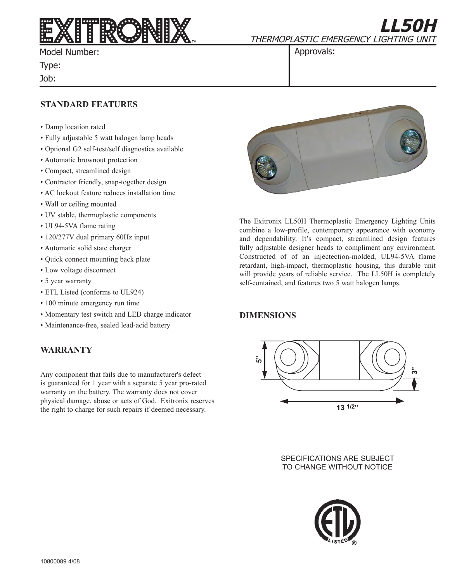

Model Number:

Type:

Job:

**LL50H** THERMOPLASTIC EMERGENCY LIGHTING UNIT

Approvals:

### **STANDARD FEATURES**

- Damp location rated
- Fully adjustable 5 watt halogen lamp heads
- Optional G2 self-test/self diagnostics available
- Automatic brownout protection
- Compact, streamlined design
- Contractor friendly, snap-together design
- AC lockout feature reduces installation time
- Wall or ceiling mounted
- UV stable, thermoplastic components
- UL94-5VA flame rating
- 120/277V dual primary 60Hz input
- Automatic solid state charger
- Quick connect mounting back plate
- Low voltage disconnect
- 5 year warranty
- ETL Listed (conforms to UL924)
- 100 minute emergency run time
- Momentary test switch and LED charge indicator
- Maintenance-free, sealed lead-acid battery

## **WARRANTY**

Any component that fails due to manufacturer's defect is guaranteed for 1 year with a separate 5 year pro-rated warranty on the battery. The warranty does not cover physical damage, abuse or acts of God. Exitronix reserves the right to charge for such repairs if deemed necessary.



The Exitronix LL50H Thermoplastic Emergency Lighting Units combine a low-profile, contemporary appearance with economy and dependability. It's compact, streamlined design features fully adjustable designer heads to compliment any environment. Constructed of of an injectection-molded, UL94-5VA flame retardant, high-impact, thermoplastic housing, this durable unit will provide years of reliable service. The LL50H is completely self-contained, and features two 5 watt halogen lamps.

# **DIMENSIONS**



SPECIFICATIONS ARE SUBJECT TO CHANGE WITHOUT NOTICE